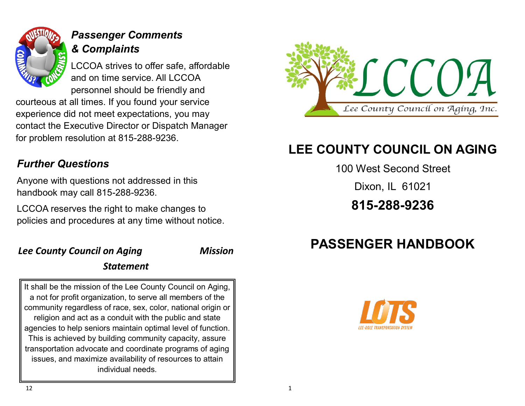

# *Passenger Comments & Complaints*

LCCOA strives to offer safe, affordable and on time service. All LCCOA personnel should be friendly and

courteous at all times. If you found your service experience did not meet expectations, you may contact the Executive Director or Dispatch Manager for problem resolution at 815-288-9236.

## *Further Questions*

Anyone with questions not addressed in this handbook may call 815-288-9236.

LCCOA reserves the right to make changes to policies and procedures at any time without notice.

#### *Lee County Council on Aging Mission*

#### *Statement*

It shall be the mission of the Lee County Council on Aging, a not for profit organization, to serve all members of the community regardless of race, sex, color, national origin or religion and act as a conduit with the public and state agencies to help seniors maintain optimal level of function. This is achieved by building community capacity, assure transportation advocate and coordinate programs of aging issues, and maximize availability of resources to attain individual needs.



# **LEE COUNTY COUNCIL ON AGING**

100 West Second Street

Dixon, IL 61021

**815-288-9236**

# **PASSENGER HANDBOOK**

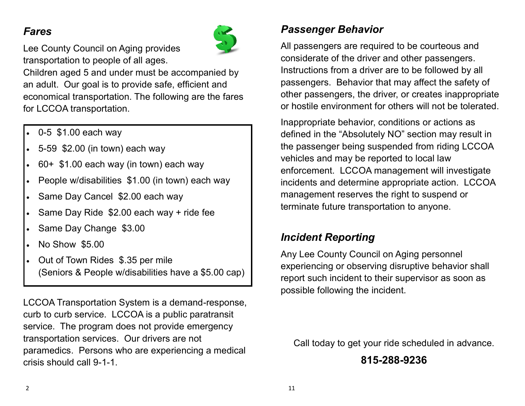#### *Fares*



Lee County Council on Aging provides transportation to people of all ages.

Children aged 5 and under must be accompanied by an adult. Our goal is to provide safe, efficient and economical transportation. The following are the fares for LCCOA transportation.

- 0-5 \$1.00 each way
- 5-59 \$2.00 (in town) each way
- 60+ \$1.00 each way (in town) each way
- People w/disabilities \$1.00 (in town) each way
- Same Day Cancel \$2.00 each way
- Same Day Ride \$2.00 each way + ride fee
- Same Day Change \$3.00
- No Show \$5.00
- Out of Town Rides \$.35 per mile (Seniors & People w/disabilities have a \$5.00 cap)

LCCOA Transportation System is a demand-response, curb to curb service. LCCOA is a public paratransit service. The program does not provide emergency transportation services. Our drivers are not paramedics. Persons who are experiencing a medical crisis should call 9-1-1.

### *Passenger Behavior*

All passengers are required to be courteous and considerate of the driver and other passengers. Instructions from a driver are to be followed by all passengers. Behavior that may affect the safety of other passengers, the driver, or creates inappropriate or hostile environment for others will not be tolerated.

Inappropriate behavior, conditions or actions as defined in the "Absolutely NO" section may result in the passenger being suspended from riding LCCOA vehicles and may be reported to local law enforcement. LCCOA management will investigate incidents and determine appropriate action. LCCOA management reserves the right to suspend or terminate future transportation to anyone.

# *Incident Reporting*

Any Lee County Council on Aging personnel experiencing or observing disruptive behavior shall report such incident to their supervisor as soon as possible following the incident.

Call today to get your ride scheduled in advance.

**815-288-9236**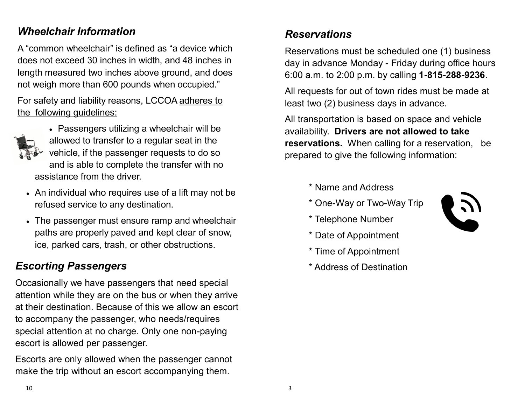#### *Wheelchair Information*

A "common wheelchair" is defined as "a device which does not exceed 30 inches in width, and 48 inches in length measured two inches above ground, and does not weigh more than 600 pounds when occupied."

For safety and liability reasons, LCCOA adheres to the following guidelines:



- Passengers utilizing a wheelchair will be allowed to transfer to a regular seat in the vehicle, if the passenger requests to do so and is able to complete the transfer with no assistance from the driver.
- An individual who requires use of a lift may not be refused service to any destination.
- The passenger must ensure ramp and wheelchair paths are properly paved and kept clear of snow, ice, parked cars, trash, or other obstructions.

#### *Escorting Passengers*

Occasionally we have passengers that need special attention while they are on the bus or when they arrive at their destination. Because of this we allow an escort to accompany the passenger, who needs/requires special attention at no charge. Only one non-paying escort is allowed per passenger.

Escorts are only allowed when the passenger cannot make the trip without an escort accompanying them.

## *Reservations*

Reservations must be scheduled one (1) business day in advance Monday - Friday during office hours 6:00 a.m. to 2:00 p.m. by calling **1-815-288-9236**.

All requests for out of town rides must be made at least two (2) business days in advance.

All transportation is based on space and vehicle availability. **Drivers are not allowed to take reservations.** When calling for a reservation, be prepared to give the following information:

- \* Name and Address
- \* One-Way or Two-Way Trip



- \* Telephone Number
- \* Date of Appointment
- \* Time of Appointment
- \* Address of Destination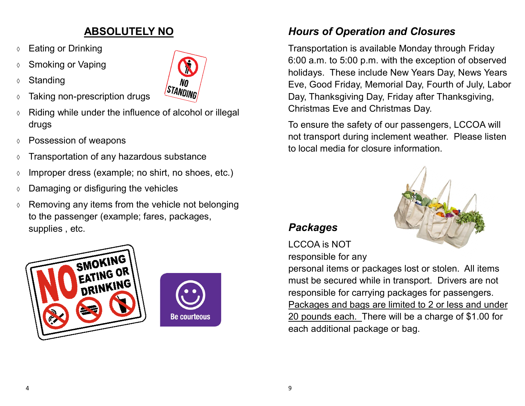### **ABSOLUTELY NO**

- **↑ Eating or Drinking**
- **↓ Smoking or Vaping**



- Taking non-prescription drugs
- $\Diamond$  Riding while under the influence of alcohol or illegal drugs
- Possession of weapons
- $\circ$  Transportation of any hazardous substance
- $\circ$  Improper dress (example; no shirt, no shoes, etc.)
- $\circ$  Damaging or disfiguring the vehicles
- $\Diamond$  Removing any items from the vehicle not belonging to the passenger (example; fares, packages, supplies , etc.





**STANDING** 

### *Hours of Operation and Closures*

Transportation is available Monday through Friday 6:00 a.m. to 5:00 p.m. with the exception of observed holidays. These include New Years Day, News Years Eve, Good Friday, Memorial Day, Fourth of July, Labor Day, Thanksgiving Day, Friday after Thanksgiving, Christmas Eve and Christmas Day.

To ensure the safety of our passengers, LCCOA will not transport during inclement weather. Please listen to local media for closure information.



#### *Packages*

LCCOA is NOT responsible for any

personal items or packages lost or stolen. All items must be secured while in transport. Drivers are not responsible for carrying packages for passengers. Packages and bags are limited to 2 or less and under 20 pounds each. There will be a charge of \$1.00 for each additional package or bag.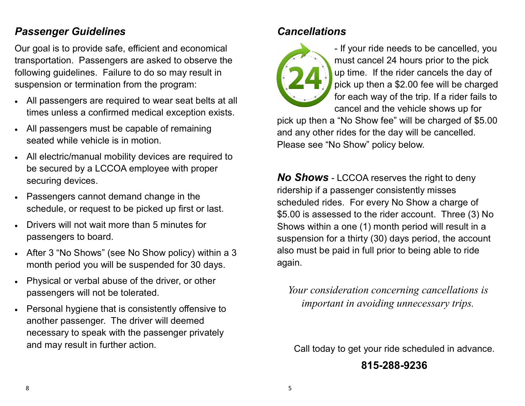#### *Passenger Guidelines*

Our goal is to provide safe, efficient and economical transportation. Passengers are asked to observe the following guidelines. Failure to do so may result in suspension or termination from the program:

- All passengers are required to wear seat belts at all times unless a confirmed medical exception exists.
- All passengers must be capable of remaining seated while vehicle is in motion.
- All electric/manual mobility devices are required to be secured by a LCCOA employee with proper securing devices.
- Passengers cannot demand change in the schedule, or request to be picked up first or last.
- Drivers will not wait more than 5 minutes for passengers to board.
- After 3 "No Shows" (see No Show policy) within a 3 month period you will be suspended for 30 days.
- Physical or verbal abuse of the driver, or other passengers will not be tolerated.
- Personal hygiene that is consistently offensive to another passenger. The driver will deemed necessary to speak with the passenger privately and may result in further action.

### *Cancellations*



- If your ride needs to be cancelled, you must cancel 24 hours prior to the pick up time. If the rider cancels the day of pick up then a \$2.00 fee will be charged for each way of the trip. If a rider fails to cancel and the vehicle shows up for

pick up then a "No Show fee" will be charged of \$5.00 and any other rides for the day will be cancelled. Please see "No Show" policy below.

*No Shows* - LCCOA reserves the right to deny ridership if a passenger consistently misses scheduled rides. For every No Show a charge of \$5.00 is assessed to the rider account. Three (3) No Shows within a one (1) month period will result in a suspension for a thirty (30) days period, the account also must be paid in full prior to being able to ride again.

*Your consideration concerning cancellations is important in avoiding unnecessary trips.* 

Call today to get your ride scheduled in advance.

#### **815-288-9236**